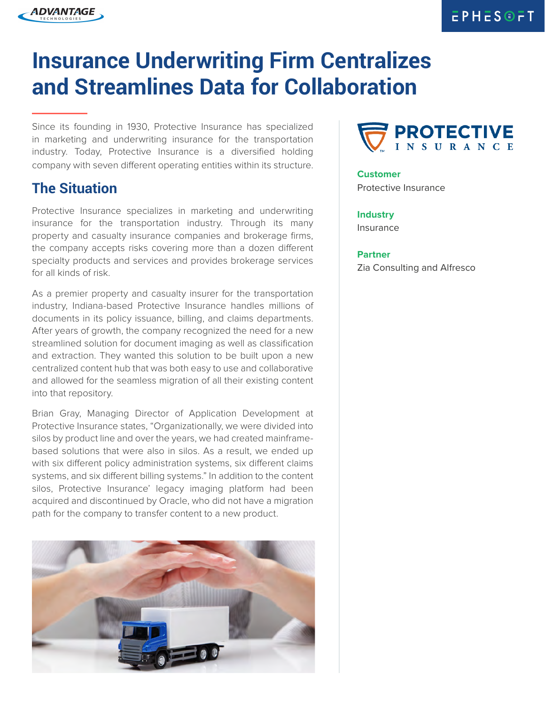# **Insurance Underwriting Firm Centralizes and Streamlines Data for Collaboration**

Since its founding in 1930, Protective Insurance has specialized in marketing and underwriting insurance for the transportation industry. Today, Protective Insurance is a diversified holding company with seven different operating entities within its structure.

#### **The Situation**

ADVANTAGE

Protective Insurance specializes in marketing and underwriting insurance for the transportation industry. Through its many property and casualty insurance companies and brokerage firms, the company accepts risks covering more than a dozen different specialty products and services and provides brokerage services for all kinds of risk.

As a premier property and casualty insurer for the transportation industry, Indiana-based Protective Insurance handles millions of documents in its policy issuance, billing, and claims departments. After years of growth, the company recognized the need for a new streamlined solution for document imaging as well as classification and extraction. They wanted this solution to be built upon a new centralized content hub that was both easy to use and collaborative and allowed for the seamless migration of all their existing content into that repository.

Brian Gray, Managing Director of Application Development at Protective Insurance states, "Organizationally, we were divided into silos by product line and over the years, we had created mainframebased solutions that were also in silos. As a result, we ended up with six different policy administration systems, six different claims systems, and six different billing systems." In addition to the content silos, Protective Insurance' legacy imaging platform had been acquired and discontinued by Oracle, who did not have a migration path for the company to transfer content to a new product.





**Customer** Protective Insurance

**Industry** Insurance

**Partner** Zia Consulting and Alfresco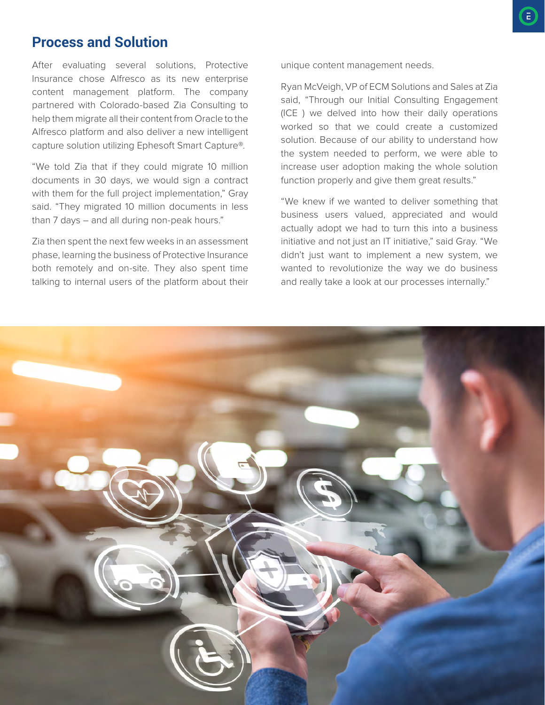## **Process and Solution**

After evaluating several solutions, Protective Insurance chose Alfresco as its new enterprise content management platform. The company partnered with Colorado-based Zia Consulting to help them migrate all their content from Oracle to the Alfresco platform and also deliver a new intelligent capture solution utilizing Ephesoft Smart Capture®.

"We told Zia that if they could migrate 10 million documents in 30 days, we would sign a contract with them for the full project implementation," Gray said. "They migrated 10 million documents in less than 7 days – and all during non-peak hours."

Zia then spent the next few weeks in an assessment phase, learning the business of Protective Insurance both remotely and on-site. They also spent time talking to internal users of the platform about their

unique content management needs.

Ryan McVeigh, VP of ECM Solutions and Sales at Zia said, "Through our Initial Consulting Engagement (ICE ) we delved into how their daily operations worked so that we could create a customized solution. Because of our ability to understand how the system needed to perform, we were able to increase user adoption making the whole solution function properly and give them great results."

"We knew if we wanted to deliver something that business users valued, appreciated and would actually adopt we had to turn this into a business initiative and not just an IT initiative," said Gray. "We didn't just want to implement a new system, we wanted to revolutionize the way we do business and really take a look at our processes internally."